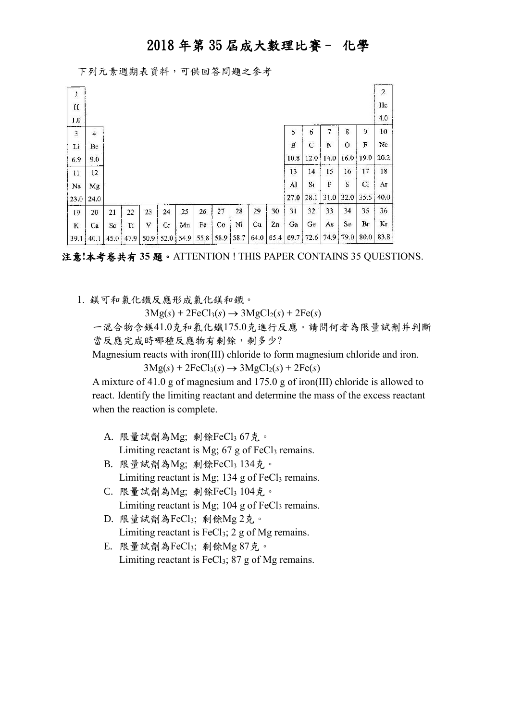下列元素週期表資料,可供回答問題之參考

| ļ           |         |      |       |    |                |    |      |    |           |      |      |      |             |      |           |               | $\overline{2}$ |
|-------------|---------|------|-------|----|----------------|----|------|----|-----------|------|------|------|-------------|------|-----------|---------------|----------------|
| $\mathbf H$ |         |      |       |    |                |    |      |    |           |      |      |      |             |      |           |               | He             |
| 1.0         |         |      |       |    |                |    |      |    |           |      |      |      |             |      |           |               | 4.0            |
| $\mathbf 3$ | 4       |      |       |    |                |    |      |    |           |      |      | 5    | 6           | 7    | 8         | 9             | 10             |
| Li          | Вe      |      |       |    |                |    |      |    |           |      |      | в    | $\mathbf C$ | N    | $\circ$   | F             | Ne             |
| 6.9         | 9.0     |      |       |    |                |    |      |    |           |      |      | 10.8 | 12.0        | 14.0 |           | $16.0 \t19.0$ | 20.2           |
| 11          | $12 \,$ |      |       |    |                |    |      |    |           |      |      | 13   | 14          | 15   | 16        | 17            | 18             |
| Na          | Mg      |      |       |    |                |    |      |    |           |      |      | Al   | Si          | P    | S         | Cl            | Aг             |
| 23.0        | 24.0    |      |       |    |                |    |      |    |           |      |      | 27.0 | 28.1        | 31.0 | 32.0      | 35.5          | 40.0           |
| 19          | 20      | 21   | 22    | 23 | 24             | 25 | 26   | 27 | 28        | 29   | 30   | 31   | 32          | 33   | 34        | 35            | 36             |
| K           | Ca      | Sc   | $T_1$ | V  | Сr             | Mn | Fe   | Co | Ni        | Cu   | 2n   | Ga   | Ge          | As   | Se        | Br            | Kг             |
| 39.1        | 40.1    | 45,0 | 47.9  |    | 50.9 52.0 54.9 |    | 55.8 |    | 58.9 58.7 | 64.0 | 65.4 | 69.7 | 72.6        |      | 74.9 79.0 | 80.0          | 83.8           |

注意**!**本考卷共有 **35** 題。ATTENTION ! THIS PAPER CONTAINS 35 QUESTIONS.

1. 鎂可和氯化鐵反應形成氯化鎂和鐵。

 $3Mg(s) + 2FeCl<sub>3</sub>(s) \rightarrow 3MgCl<sub>2</sub>(s) + 2Fe(s)$ 

 一混合物含鎂41.0克和氯化鐵175.0克進行反應。請問何者為限量試劑并判斷 當反應完成時哪種反應物有剩餘,剩多少?

Magnesium reacts with iron(III) chloride to form magnesium chloride and iron.

 $3Mg(s) + 2FeCl<sub>3</sub>(s) \rightarrow 3MgCl<sub>2</sub>(s) + 2Fe(s)$ 

 A mixture of 41.0 g of magnesium and 175.0 g of iron(III) chloride is allowed to react. Identify the limiting reactant and determine the mass of the excess reactant when the reaction is complete.

- A. 限量試劑為Mg; 剩餘FeCl3 67克。 Limiting reactant is Mg;  $67$  g of FeCl<sub>3</sub> remains.
- B. 限量試劑為Mg; 剩餘FeCl3 134克。 Limiting reactant is Mg;  $134$  g of FeCl<sub>3</sub> remains.
- C. 限量試劑為Mg; 剩餘FeCl3 104克。 Limiting reactant is Mg;  $104$  g of FeCl<sub>3</sub> remains.
- D. 限量試劑為FeCl3; 剩餘Mg 2克。 Limiting reactant is  $FeCl<sub>3</sub>$ ; 2 g of Mg remains.
- E. 限量試劑為FeCl3; 剩餘Mg 87克。 Limiting reactant is  $FeCl<sub>3</sub>$ ; 87 g of Mg remains.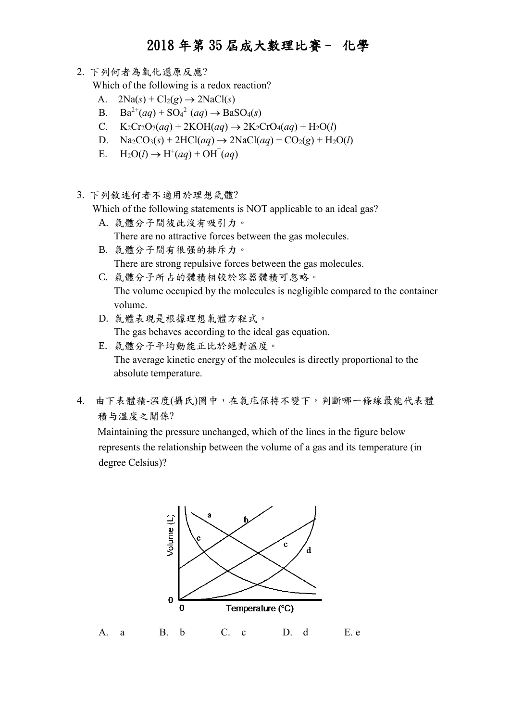2. 下列何者為氧化還原反應?

Which of the following is a redox reaction?

- A.  $2\text{Na}(s) + \text{Cl}_2(g) \rightarrow 2\text{NaCl}(s)$
- B. Ba<sup>2+</sup>(*aq*) + SO<sub>4</sub><sup>2</sub><sup>-</sup>(*aq*)  $\rightarrow$  BaSO<sub>4</sub>(*s*)</sup>
- C.  $K_2Cr_2O_7(aq) + 2KOH(aq) \rightarrow 2K_2CrO_4(aq) + H_2O(l)$
- D.  $\text{Na}_2\text{CO}_3(s) + 2\text{HCl}(aq) \rightarrow 2\text{NaCl}(aq) + \text{CO}_2(g) + \text{H}_2\text{O}(l)$
- E.  $H_2O(l) \rightarrow H^+(aq) + OH^-(aq)$
- 3. 下列敘述何者不適用於理想氣體?

Which of the following statements is NOT applicable to an ideal gas?

- A. 氣體分子間彼此沒有吸引力。 There are no attractive forces between the gas molecules.
- B. 氣體分子間有很强的排斥力。 There are strong repulsive forces between the gas molecules.
- C. 氣體分子所占的體積相较於容器體積可忽略。 The volume occupied by the molecules is negligible compared to the container volume.
- D. 氣體表現是根據理想氣體方程式。 The gas behaves according to the ideal gas equation.
- E. 氣體分子平均動能正比於絕對溫度。 The average kinetic energy of the molecules is directly proportional to the absolute temperature.
- 4. 由下表體積-溫度(攝氏)圖中,在氣庒保持不變下,判斷哪一條線最能代表體 積与溫度之關係?

Maintaining the pressure unchanged, which of the lines in the figure below represents the relationship between the volume of a gas and its temperature (in degree Celsius)?

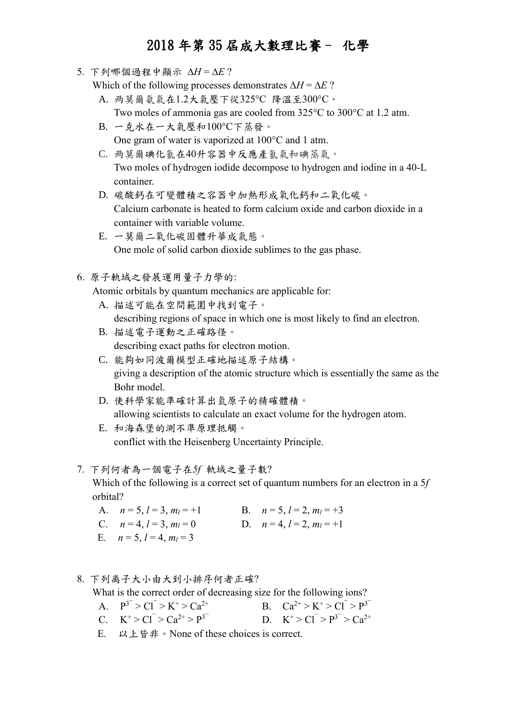5. 下列哪個過程中顯示  $AH = AE$ ?

Which of the following processes demonstrates  $\Delta H = \Delta E$ ?

- A. 两莫爾氨氣在1.2大氣壓下從325C 降溫至300C。 Two moles of ammonia gas are cooled from  $325^{\circ}$ C to  $300^{\circ}$ C at 1.2 atm.
- B. 一克水在一大氣壓和100C下蒸發。 One gram of water is vaporized at  $100^{\circ}$ C and 1 atm.
- C. 两莫爾碘化氢在40升容器中反應產氢氣和碘蒸氣。 Two moles of hydrogen iodide decompose to hydrogen and iodine in a 40-L container.
- D. 碳酸鈣在可變體積之容器中加熱形成氧化鈣和二氧化碳。 Calcium carbonate is heated to form calcium oxide and carbon dioxide in a container with variable volume.
- E. 一莫爾二氧化碳固體升華成氣態。 One mole of solid carbon dioxide sublimes to the gas phase.
- 6. 原子軌域之發展運用量子力學的:

Atomic orbitals by quantum mechanics are applicable for:

- A. 描述可能在空間範圍中找到電子。 describing regions of space in which one is most likely to find an electron.
- B. 描述電子運動之正確路径。 describing exact paths for electron motion.
- C. 能夠如同波爾模型正確地描述原子結構。 giving a description of the atomic structure which is essentially the same as the Bohr model.
- D. 使科學家能準確計算出氫原子的精確體積。 allowing scientists to calculate an exact volume for the hydrogen atom.
- E. 和海森堡的測不準原理抵觸。 conflict with the Heisenberg Uncertainty Principle.

#### 7. 下列何者為一個電子在*5f* 軌域之量子數?

 Which of the following is a correct set of quantum numbers for an electron in a 5*f* orbital?

- A.  $n = 5, l = 3, m_l = +1$  B.  $n = 5, l = 2, m_l = +3$
- C.  $n = 4, l = 3, m_l = 0$  D.  $n = 4, l = 2, m_l = +1$
- E.  $n = 5, l = 4, m_l = 3$

#### 8. 下列离子大小由大到小排序何者正確?

What is the correct order of decreasing size for the following ions?

- A.  $P^{3} > C1 > K^+ > Ca^{2+}$  B.  $Ca^{2+} > K^+ > C1 > P^{3}$
- C.  $K^+ > Cl^- > Ca^{2+} > P^{3-}$  D. K D.  $K^+ > Cl^- > P^{3-} > Ca^{2+}$
- E. 以上皆非。None of these choices is correct.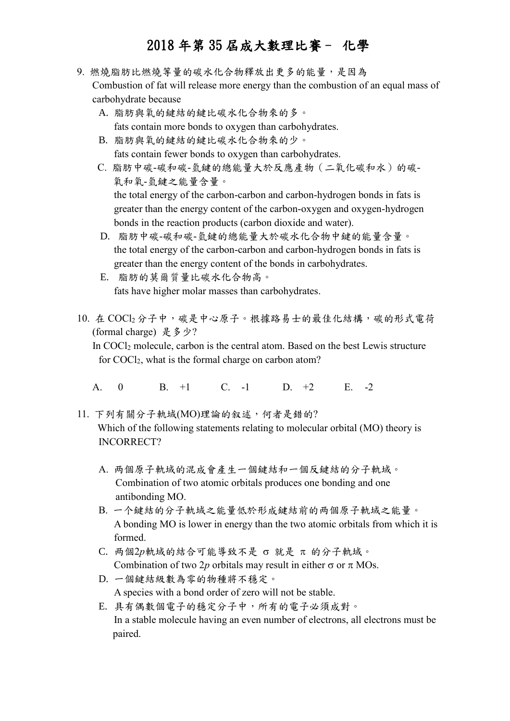- 9. 燃燒脂肪比燃燒等量的碳水化合物釋放出更多的能量,是因為 Combustion of fat will release more energy than the combustion of an equal mass of carbohydrate because
	- A. 脂肪與氧的鍵結的鍵比碳水化合物來的多。 fats contain more bonds to oxygen than carbohydrates.
	- B. 脂肪與氧的鍵結的鍵比碳水化合物來的少。 fats contain fewer bonds to oxygen than carbohydrates.
	- C. 脂肪中碳-碳和碳-氫鍵的總能量大於反應產物(二氧化碳和水)的碳- 氧和氧-氫鍵之能量含量。 the total energy of the carbon-carbon and carbon-hydrogen bonds in fats is greater than the energy content of the carbon-oxygen and oxygen-hydrogen bonds in the reaction products (carbon dioxide and water).
	- D. 脂肪中碳-碳和碳-氫鍵的總能量大於碳水化合物中鍵的能量含量。 the total energy of the carbon-carbon and carbon-hydrogen bonds in fats is greater than the energy content of the bonds in carbohydrates.
	- E. 脂肪的莫爾質量比碳水化合物高。 fats have higher molar masses than carbohydrates.
- 10. 在 COCl<sup>2</sup> 分子中,碳是中心原子。根據路易士的最佳化結構,碳的形式電荷 (formal charge) 是多少?

 In COCl<sup>2</sup> molecule, carbon is the central atom. Based on the best Lewis structure for COCl2, what is the formal charge on carbon atom?

- A. 0 B. +1 C. -1 D. +2 E. -2
- 11. 下列有關分子軌域(MO)理論的叙述,何者是錯的? Which of the following statements relating to molecular orbital (MO) theory is INCORRECT?
	- A. 两個原子軌域的混成會產生一個鍵結和一個反鍵結的分子軌域。 Combination of two atomic orbitals produces one bonding and one antibonding MO.
	- B. 一个鍵結的分子軌域之能量低於形成鍵結前的两個原子軌域之能量。 A bonding MO is lower in energy than the two atomic orbitals from which it is formed.
	- C. 两個2p軌域的結合可能導致不是 σ 就是 π 的分子軌域。 Combination of two 2p orbitals may result in either  $\sigma$  or  $\pi$  MOs.
	- D. 一個鍵結級數為零的物種將不穩定。 A species with a bond order of zero will not be stable.
	- E. 具有偶數個電子的穩定分子中,所有的電子必須成對。 In a stable molecule having an even number of electrons, all electrons must be paired.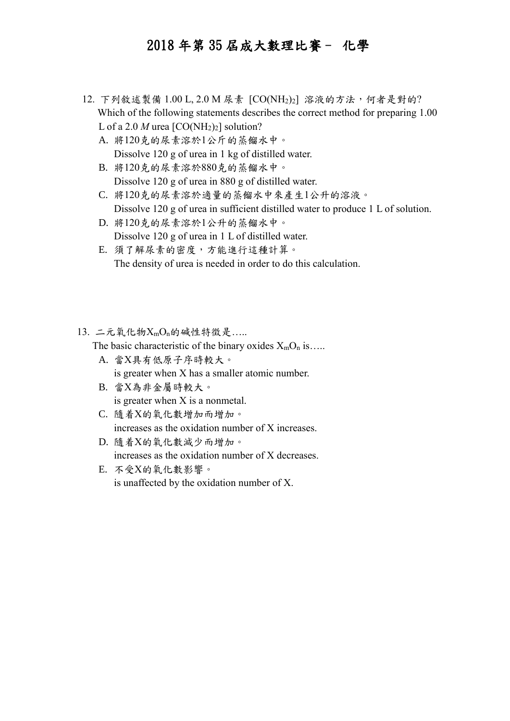- 12. 下列敘述製備 1.00 L, 2.0 M 尿素 [CO(NH2)2] 溶液的方法,何者是對的? Which of the following statements describes the correct method for preparing 1.00 L of a 2.0 *M* urea  $[CO(NH<sub>2</sub>)<sub>2</sub>]$  solution?
	- A. 將120克的尿素溶於1公斤的蒸餾水中。 Dissolve 120 g of urea in 1 kg of distilled water.
	- B. 將120克的尿素溶於880克的蒸餾水中。 Dissolve 120 g of urea in 880 g of distilled water.
	- C. 將120克的尿素溶於適量的蒸餾水中來產生1公升的溶液。 Dissolve 120 g of urea in sufficient distilled water to produce 1 L of solution.
	- D. 將120克的尿素溶於1公升的蒸餾水中。 Dissolve 120 g of urea in 1 L of distilled water.
	- E. 須了解尿素的密度,方能進行這種計算。 The density of urea is needed in order to do this calculation.
- $13.$  二元氧化物 $X_{m}O_{n}$ 的碱性特徵是……

The basic characteristic of the binary oxides  $X_{m}O_{n}$  is....

- A. 當X具有低原子序時較大。 is greater when X has a smaller atomic number.
- B. 當X為非金屬時較大。 is greater when X is a nonmetal.
- C. 隨着X的氧化數增加而增加。 increases as the oxidation number of X increases.
- D. 隨着X的氧化數減少而增加。 increases as the oxidation number of X decreases.
- E. 不受X的氧化數影響。 is unaffected by the oxidation number of X.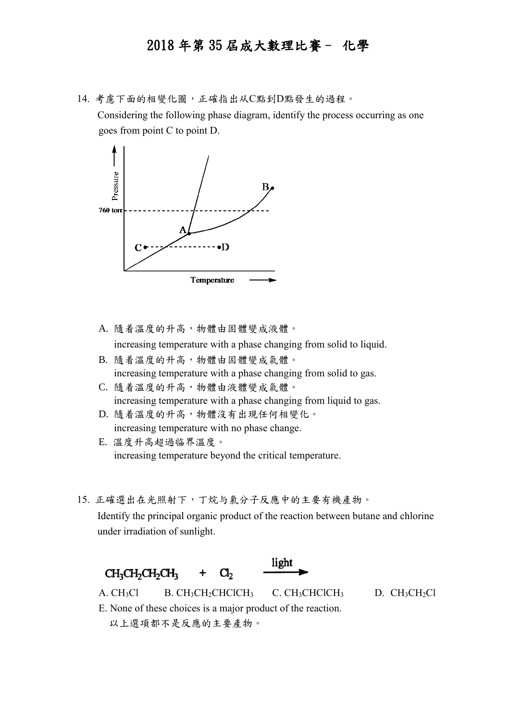14. 考慮下面的相變化圖,正確指出从C點到D點發生的過程。

Considering the following phase diagram, identify the process occurring as one goes from point C to point D.



A. 隨着溫度的升高,物體由固體變成液體。

increasing temperature with a phase changing from solid to liquid.

- B. 隨着溫度的升高,物體由固體變成氣體。 increasing temperature with a phase changing from solid to gas.
- C. 隨着溫度的升高,物體由液體變成氣體。 increasing temperature with a phase changing from liquid to gas.
- D. 隨着溫度的升高,物體沒有出現任何相變化。 increasing temperature with no phase change.
- E. 溫度升高超過临界溫度。 increasing temperature beyond the critical temperature.
- 15. 正確選出在光照射下,丁烷与氯分子反應中的主要有機產物。

Identify the principal organic product of the reaction between butane and chlorine under irradiation of sunlight.

light CH<sub>3</sub>CH<sub>2</sub>CH<sub>2</sub>CH<sub>3</sub>  $\mathbf{C}$ + A. CH<sub>3</sub>Cl B. CH<sub>3</sub>CH<sub>2</sub>CHClCH<sub>3</sub> C. CH<sub>3</sub>CHClCH<sub>3</sub> D. CH<sub>3</sub>CH<sub>2</sub>Cl

E. None of these choices is a major product of the reaction. 以上選項都不是反應的主要產物。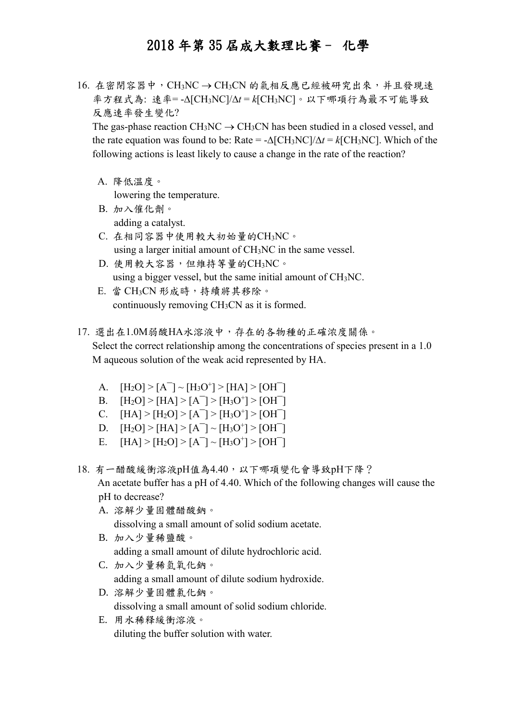$16.$  在密閉容器中, CH3NC → CH3CN 的氣相反應已經被研究出來, 并且發現速 率方程式為: 速率=- $\Delta$ [CH<sub>3</sub>NC]/ $\Delta t$ =k[CH<sub>3</sub>NC]。以下哪項行為最不可能導致 反應速率發生變化?

The gas-phase reaction CH<sub>3</sub>NC  $\rightarrow$  CH<sub>3</sub>CN has been studied in a closed vessel, and the rate equation was found to be: Rate =  $-\Delta$ [CH<sub>3</sub>NC]/ $\Delta t$  =  $k$ [CH<sub>3</sub>NC]. Which of the following actions is least likely to cause a change in the rate of the reaction?

A. 降低溫度。

lowering the temperature.

- B. 加入催化劑。 adding a catalyst.
- C. 在相同容器中使用較大初始量的CH3NC。 using a larger initial amount of CH3NC in the same vessel.
- D. 使用較大容器,但維持等量的CH3NC。 using a bigger vessel, but the same initial amount of CH3NC.
- E. 當 CH3CN 形成時,持續將其移除。 continuously removing CH3CN as it is formed.
- 17. 選出在1.0M弱酸HA水溶液中,存在的各物種的正確浓度關係。 Select the correct relationship among the concentrations of species present in a 1.0 M aqueous solution of the weak acid represented by HA.
	- A.  $[H_2O] > [A^-] \sim [H_3O^+] > [HA] > [OH^-]$
	- B.  $[H_2O] > [HA] > [A^-] > [H_3O^+] > [OH^-]$
	- C.  $[HA] > [H_2O] > [A^-] > [H_3O^+] > [OH^-]$
	- D.  $[H_2O] > [HA] > [A^-] \sim [H_3O^+] > [OH^-]$
	- E.  $[HA] > [H_2O] > [A^-] \sim [H_3O^+] > [OH^-]$
- 18. 有一醋酸緩衝溶液pH值為4.40,以下哪項變化會導致pH下降? An acetate buffer has a pH of 4.40. Which of the following changes will cause the pH to decrease?
	- A. 溶解少量固體醋酸鈉。 dissolving a small amount of solid sodium acetate.
	- B. 加入少量稀鹽酸。 adding a small amount of dilute hydrochloric acid.
	- C. 加入少量稀氫氧化鈉。 adding a small amount of dilute sodium hydroxide.
	- D. 溶解少量固體氯化鈉。 dissolving a small amount of solid sodium chloride.
	- E. 用水稀释緩衝溶液。 diluting the buffer solution with water.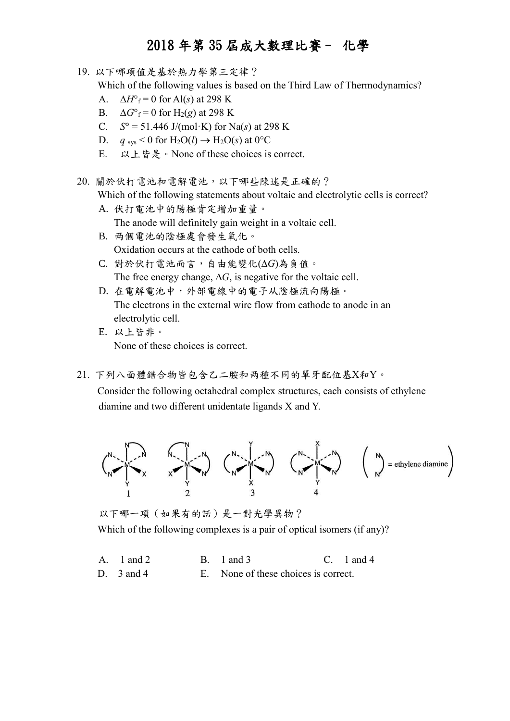19. 以下哪項值是基於热力學第三定律? Which of the following values is based on the Third Law of Thermodynamics? A.  $\Delta H^{\circ}$ <sub>f</sub> = 0 for Al(s) at 298 K B.  $\Delta G^{\circ}$ <sub>f</sub> = 0 for H<sub>2</sub>(*g*) at 298 K C.  $S^{\circ} = 51.446 \text{ J/(mol·K)}$  for Na(s) at 298 K D. *q* sys < 0 for  $H_2O(l) \rightarrow H_2O(s)$  at 0<sup>o</sup>C E. 以上皆是。None of these choices is correct. 20. 關於伏打電池和電解電池,以下哪些陳述是正確的? Which of the following statements about voltaic and electrolytic cells is correct? A. 伏打電池中的陽極肯定增加重量。 The anode will definitely gain weight in a voltaic cell. B. 两個電池的陰極處會發生氧化。 Oxidation occurs at the cathode of both cells. C. 對於伏打電池而言,自由能變化(*G*)為負值。 The free energy change,  $\Delta G$ , is negative for the voltaic cell. D. 在電解電池中,外部電線中的電子从陰極流向陽極。 The electrons in the external wire flow from cathode to anode in an electrolytic cell. E. 以上皆非。

None of these choices is correct.

21. 下列八面體錯合物皆包含乙二胺和两種不同的單牙配位基X和Y。

 Consider the following octahedral complex structures, each consists of ethylene diamine and two different unidentate ligands X and Y.



以下哪一項(如果有的話)是一對光學異物? Which of the following complexes is a pair of optical isomers (if any)?

- A. 1 and 2 B. 1 and 3 C. 1 and 4
- D. 3 and 4 E. None of these choices is correct.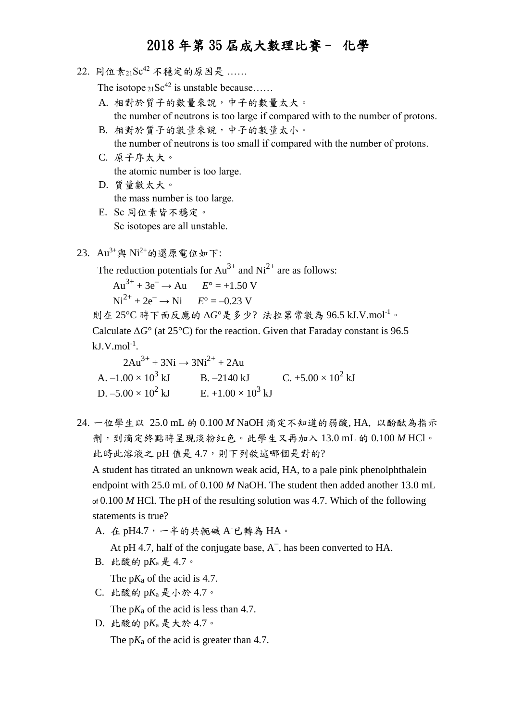22. 同位素21Sc42 不穩定的原因是 ……

The isotope  $_{21}Sc^{42}$  is unstable because.....

- A. 相對於質子的數量來說,中子的數量太大。 the number of neutrons is too large if compared with to the number of protons.
- B. 相對於質子的數量來說,中子的數量太小。 the number of neutrons is too small if compared with the number of protons.
- C. 原子序太大。 the atomic number is too large.
- D. 質量數太大。 the mass number is too large.
- E. Sc 同位素皆不穩定。 Sc isotopes are all unstable.
- $23.$   $Au^{3+}$ 與  $Ni^{2+}$ 的還原電位如下:

The reduction potentials for  $Au^{3+}$  and  $Ni^{2+}$  are as follows:

 $Au^{3+} + 3e^- \rightarrow Au$   $E^{\circ} = +1.50$  V

 $Ni^{2+} + 2e^- \rightarrow Ni$   $E^{\circ} = -0.23$  V

則在 25°C 時下面反應的 Δ*G*°是多少? 法拉第常數為 96.5 kJ.V.mol-1。

 Calculate Δ*G*° (at 25°C) for the reaction. Given that Faraday constant is 96.5  $kJ.V.mol<sup>-1</sup>$ .

 $2Au^{3+} + 3Ni \rightarrow 3Ni^{2+} + 2Au$ A.  $-1.00 \times 10^3$  kJ B.  $-2140$  kJ C.  $+5.00 \times 10^2$  kJ D.  $-5.00 \times 10^2$  kJ E.  $+1.00 \times 10^3$  kJ

24. 一位學生以 25.0 mL 的 0.100 *M* NaOH 滴定不知道的弱酸, HA, 以酚酞為指示 劑,到滴定終點時呈現淡粉紅色。此學生又再加入 13.0 mL 的 0.100 *M* HCl。 此時此溶液之 pH 值是 4.7,則下列敘述哪個是對的?

 A student has titrated an unknown weak acid, HA, to a pale pink phenolphthalein endpoint with 25.0 mL of 0.100 *M* NaOH. The student then added another 13.0 mL of 0.100 *M* HCl. The pH of the resulting solution was 4.7. Which of the following statements is true?

A. 在 pH4.7, 一半的共軛碱 A 已轉為 HA。

At pH 4.7, half of the conjugate base,  $A^-$ , has been converted to HA.

B. 此酸的 p*K*<sup>a</sup> 是 4.7。

The  $pK_a$  of the acid is 4.7.

C. 此酸的 p*K*<sup>a</sup> 是小於 4.7。

The p*K*<sub>a</sub> of the acid is less than 4.7.

D. 此酸的 p*K*<sup>a</sup> 是大於 4.7。 The  $pK_a$  of the acid is greater than 4.7.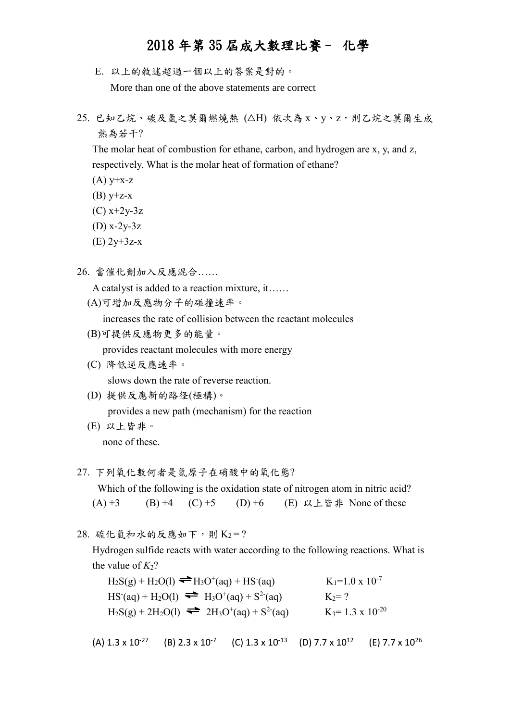- E. 以上的敘述超過一個以上的答案是對的。 More than one of the above statements are correct
- 25. 已知乙烷、碳及氫之莫爾燃燒熱 (△H) 依次為 x、y、z,則乙烷之莫爾生成 熱為若干?

 The molar heat of combustion for ethane, carbon, and hydrogen are x, y, and z, respectively. What is the molar heat of formation of ethane?

- $(A)$  y+x-z
- (B)  $y+z-x$
- $(C)$  x+2y-3z
- (D) x-2y-3z
- (E) 2y+3z-x
- 26. 當催化劑加入反應混合……

A catalyst is added to a reaction mixture, it……

(A)可增加反應物分子的碰撞速率。

increases the rate of collision between the reactant molecules

(B)可提供反應物更多的能量。

provides reactant molecules with more energy

- (C) 降低逆反應速率。 slows down the rate of reverse reaction.
- (D) 提供反應新的路径(極構)。 provides a new path (mechanism) for the reaction
- (E) 以上皆非。 none of these.
- 27. 下列氧化數何者是氮原子在硝酸中的氧化態? Which of the following is the oxidation state of nitrogen atom in nitric acid? (A) +3 (B) +4 (C) +5 (D) +6 (E) 以上皆非 None of these
- $28.$  硫化氫和水的反應如下,則  $K_2 = ?$

 Hydrogen sulfide reacts with water according to the following reactions. What is the value of  $K_2$ ?

 $H_2S(g) + H_2O(1) \longrightarrow H_3O^+(aq) + HS^ K_1=1.0 \times 10^{-7}$  $HS$ <sup>-</sup>(aq) + H<sub>2</sub>O(l)  $\implies$  H<sub>3</sub>O<sup>+</sup>(aq) + S<sup>2-</sup> (aq)  $K_2 = ?$  $H_2S(g) + 2H_2O(l) \implies 2H_3O^+(aq) + S^2$ (aq)  $K_3=1.3 \times 10^{-20}$ 

(A)  $1.3 \times 10^{-27}$  (B)  $2.3 \times 10^{-7}$  (C)  $1.3 \times 10^{-13}$  (D)  $7.7 \times 10^{12}$  (E)  $7.7 \times 10^{26}$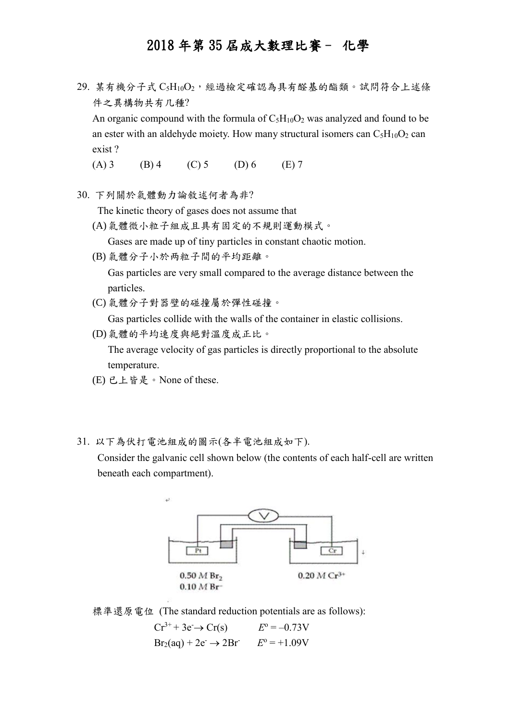29. 某有機分子式 C5H10O2,經過檢定確認為具有醛基的酯類。試問符合上述條 件之異構物共有几種?

An organic compound with the formula of  $C_5H_{10}O_2$  was analyzed and found to be an ester with an aldehyde moiety. How many structural isomers can  $C_5H_{10}O_2$  can exist ?

(A) 3 (B) 4 (C) 5 (D) 6 (E) 7

30. 下列關於氣體動力論敘述何者為非?

The kinetic theory of gases does not assume that

(A)氣體微小粒子組成且具有固定的不規則運動模式。

Gases are made up of tiny particles in constant chaotic motion.

(B) 氣體分子小於两粒子間的平均距離。

Gas particles are very small compared to the average distance between the particles.

(C) 氣體分子對器壁的碰撞屬於彈性碰撞。

Gas particles collide with the walls of the container in elastic collisions.

(D)氣體的平均速度與絕對溫度成正比。

The average velocity of gas particles is directly proportional to the absolute temperature.

- (E) 已上皆是。None of these.
- 31. 以下為伏打電池組成的圖示(各半電池組成如下).

 Consider the galvanic cell shown below (the contents of each half-cell are written beneath each compartment).





 $Cr^{3+} + 3e^- \rightarrow Cr(s)$  $E^{\rm o} = -0.73V$  $Br_2(aq) + 2e^- \rightarrow 2Br$   $E^{\circ} = +1.09V$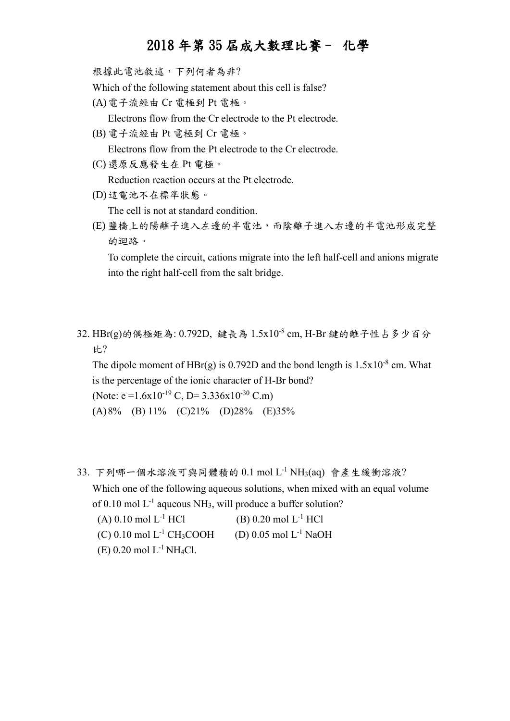根據此電池敘述,下列何者為非?

Which of the following statement about this cell is false?

(A)電子流經由 Cr 電極到 Pt 電極。

Electrons flow from the Cr electrode to the Pt electrode.

(B) 電子流經由 Pt 電極到 Cr 電極。

Electrons flow from the Pt electrode to the Cr electrode.

(C) 還原反應發生在 Pt 電極。

Reduction reaction occurs at the Pt electrode.

(D)這電池不在標準狀態。

The cell is not at standard condition.

(E) 鹽橋上的陽離子進入左邊的半電池,而陰離子進入右邊的半電池形成完整 的迴路。

To complete the circuit, cations migrate into the left half-cell and anions migrate into the right half-cell from the salt bridge.

32. HBr(g)的偶極矩為: 0.792D, 鍵長為 1.5x10<sup>-8</sup> cm, H-Br 鍵的離子性占多少百分 比?

The dipole moment of  $HBr(g)$  is 0.792D and the bond length is  $1.5x10^{-8}$  cm. What is the percentage of the ionic character of H-Br bond? (Note: e = 1.6x10<sup>-19</sup> C, D = 3.336x10<sup>-30</sup> C.m)

(A)8% (B) 11% (C)21% (D)28% (E)35%

- 33. 下列哪一個水溶液可與同體積的 0.1 mol L-1 NH3(aq) 會產生緩衝溶液? Which one of the following aqueous solutions, when mixed with an equal volume of 0.10 mol  $L^{-1}$  aqueous NH<sub>3</sub>, will produce a buffer solution? (A)  $0.10 \text{ mol L}^{-1}$  HCl (B)  $0.20 \text{ mol L}^{-1}$  HCl
	- (C) 0.10 mol  $L^{-1}$  CH<sub>3</sub>COOH (D) 0.05 mol  $L^{-1}$  NaOH

(E)  $0.20$  mol  $L^{-1}$  NH<sub>4</sub>Cl.